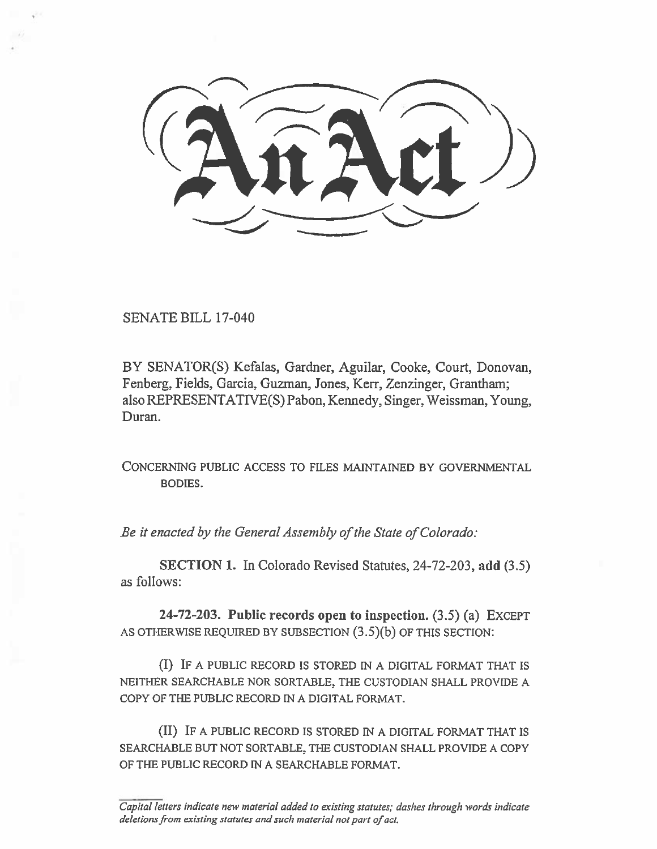$(2\pi)$  $\frac{1}{2}$ 

SENATE BILL 17-040

BY SENATOR(S) Kefalas, Gardner, Aguilar, Cooke, Court, Donovan, Fenberg, Fields, Garcia, Guzman, Jones, Kerr, Zenzinger, Grantham; also REPRESENTATIVE(S) Pabon, Kennedy, Singer, Weissman, Young, Duran.

CONCERNING PUBLIC ACCESS TO FILES MAINTAINED BY GOVERNMENTAL BODIES.

*Be it enacted by the General Assembly of the State of Colorado:* 

**SECTION I. In** Colorado Revised Statutes, 24-72-203, **add** (3.5) as follows:

**24-72-203. Public records open to inspection.** (3.5) (a) EXCEPT AS OTHERWISE REQUIRED BY SUBSECTION (3.5)(b) OF THIS SECTION:

**(I) IF** A PUBLIC RECORD IS STORED IN A DIGITAL FORMAT THAT IS NEITHER SEARCHABLE NOR SORTABLE, THE CUSTODIAN SHALL PROVIDE A COPY OF THE PUBLIC RECORD IN A DIGITAL FORMAT.

(II) IF A PUBLIC RECORD IS STORED IN A DIGITAL FORMAT THAT IS SEARCHABLE BUT NOT SORTABLE, THE CUSTODIAN SHALL PROVIDE A COPY OF **THE** PUBLIC RECORD IN A SEARCHABLE FORMAT.

*Capital letters indicate new material added to existing statutes; dashes through words indicate deletions from existing statutes and such material not part of act.*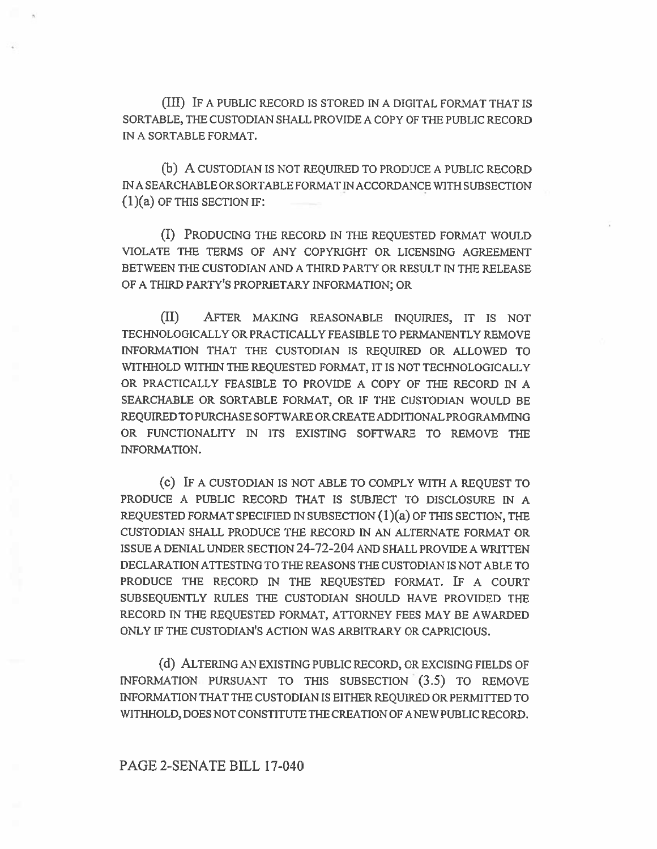(III) IF A PUBLIC RECORD IS STORED IN A DIGITAL FORMAT THAT IS SORTABLE, THE CUSTODIAN SHALL PROVIDE A COPY OF THE PUBLIC RECORD IN A SORTABLE FORMAT.

(b) A CUSTODIAN IS NOT REQUIRED TO PRODUCE A PUBLIC RECORD INA SEARCHABLE OR SORTABLE FORMAT IN ACCORDANCE WITH SUBSECTION  $(1)(a)$  OF THIS SECTION IF:

(I) PRODUCING THE RECORD IN THE REQUESTED FORMAT WOULD VIOLATE THE TERMS OF ANY COPYRIGHT OR LICENSING AGREEMENT BETWEEN THE CUSTODIAN AND A THIRD PARTY OR RESULT IN THE RELEASE OF A THIRD PARTY'S PROPRIETARY INFORMATION; OR

(II) AFTER MAKING REASONABLE INQUIRIES, IT **IS** NOT TECHNOLOGICALLY OR PRACTICALLY FEASIBLE TO PERMANENTLY REMOVE INFORMATION THAT THE CUSTODIAN IS REQUIRED OR ALLOWED TO WITHHOLD WITHIN THE REQUESTED FORMAT, IT IS NOT TECHNOLOGICALLY OR PRACTICALLY FEASIBLE TO PROVIDE A COPY OF THE RECORD IN A SEARCHABLE OR SORTABLE FORMAT, **OR** IF THE CUSTODIAN WOULD BE REQUIRED TO PURCHASE SOFTWARE OR CREATE ADDITIONAL PROGRAMMING OR FUNCTIONALITY IN ITS EXISTING SOFTWARE TO REMOVE THE INFORMATION.

**(c) IF** A CUSTODIAN IS NOT ABLE TO COMPLY WITH A REQUEST TO PRODUCE A PUBLIC RECORD THAT IS SUBJECT TO DISCLOSURE IN A REQUESTED FORMAT SPECIFIED IN SUBSECTION (1)(a) OF THIS SECTION, THE CUSTODIAN SHALL PRODUCE THE RECORD IN AN ALTERNATE FORMAT OR ISSUE A DENIAL UNDER SECTION 24-72-204 AND SHALL PROVIDE A WRITTEN DECLARATION ATTESTING TO THE REASONS THE CUSTODIAN IS NOT ABLE TO PRODUCE THE RECORD IN THE REQUESTED FORMAT. IF A COURT SUBSEQUENTLY RULES THE CUSTODIAN SHOULD HAVE PROVIDED THE RECORD IN THE REQUESTED FORMAT, ATTORNEY FEES MAY BE AWARDED ONLY IF THE CUSTODIAN'S ACTION WAS ARBITRARY OR CAPRICIOUS.

(d) ALTERING AN EXISTING PUBLIC RECORD, OR EXCISING FIELDS OF INFORMATION PURSUANT TO THIS SUBSECTION (3.5) TO REMOVE INFORMATION THAT THE CUSTODIAN IS EITHER REQUIRED OR PERMITTED TO WITHHOLD, DOES NOT CONSTITUTE THE CREATION OF A NEW PUBLIC RECORD.

## PAGE 2-SENATE BILL 17-040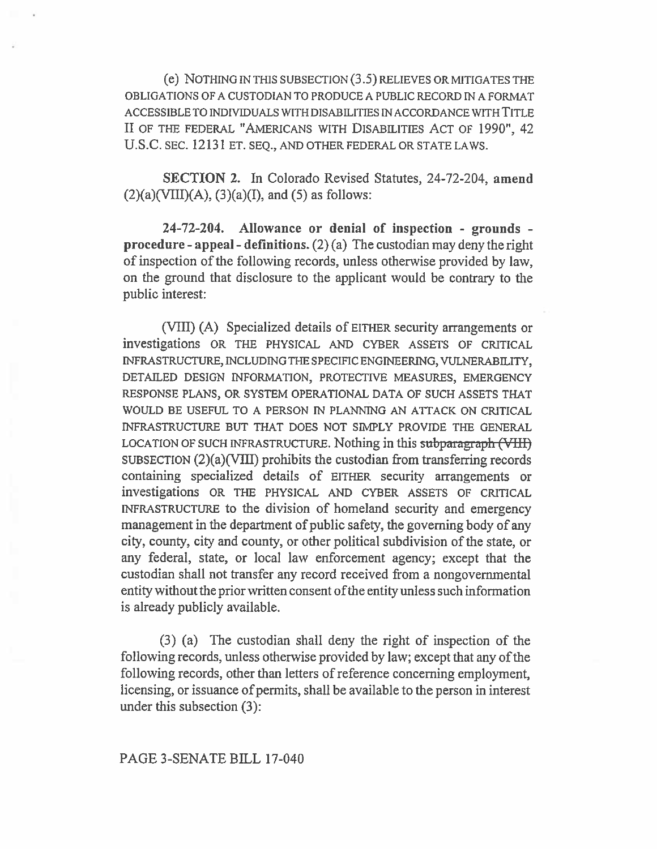(e) NOTHING IN THIS SUBSECTION (3.5) RELIEVES OR MITIGATES THE OBLIGATIONS OF A CUSTODIAN TO PRODUCE A PUBLIC RECORD IN A FORMAT ACCESSIBLE TO INDIVIDUALS WITH DISABILITIES IN ACCORDANCE WITH **TITLE II** OF THE FEDERAL "AMERICANS WITH DISABILITIES ACT OF **1990", 42 U.S.C.** SEC. 12131 ET. SEQ., AND OTHER FEDERAL OR STATE LAWS.

**SECTION** 2. In Colorado Revised Statutes, 24-72-204, **amend**   $(2)(a)$ (VIII) $(A)$ ,  $(3)(a)$  $(I)$ , and  $(5)$  as follows:

**24-72-204. Allowance or denial of inspection - grounds procedure - appeal - definitions.** (2) (a) The custodian may deny the right of inspection of the following records, unless otherwise provided by law, on the ground that disclosure to the applicant would be contrary to the public interest:

(VIII) (A) Specialized details of EITHER security arrangements or investigations OR THE PHYSICAL AND CYBER ASSETS OF CRITICAL INFRASTRUCTURE, INCLUDING THE SPECIFIC ENGINEERING, VULNERABILITY, DETAILED DESIGN INFORMATION, PROTECTIVE MEASURES, EMERGENCY RESPONSE PLANS, OR SYSTEM OPERATIONAL DATA OF SUCH ASSETS THAT WOULD BE USEFUL TO A PERSON IN PLANNING AN ATTACK ON CRITICAL INFRASTRUCTURE BUT THAT DOES NOT SIMPLY PROVIDE THE GENERAL LOCATION OF SUCH INFRASTRUCTURE. Nothing in this subparagraph (VIII) SUBSECTION (2)(a)(VIII) prohibits the custodian from transferring records containing specialized details of EITHER security arrangements or investigations OR THE PHYSICAL AND CYBER ASSETS OF CRITICAL INFRASTRUCTURE to the division of homeland security and emergency management in the department of public safety, the governing body of any city, county, city and county, or other political subdivision of the state, or any federal, state, or local law enforcement agency; except that the custodian shall not transfer any record received from a nongovernmental entity without the prior written consent ofthe entity unless such information is already publicly available.

(3) (a) The custodian shall deny the right of inspection of the following records, unless otherwise provided by law; except that any of the following records, other than letters of reference concerning employment, licensing, or issuance of permits, shall be available to the person in interest under this subsection (3):

PAGE 3-SENATE BILL 17-040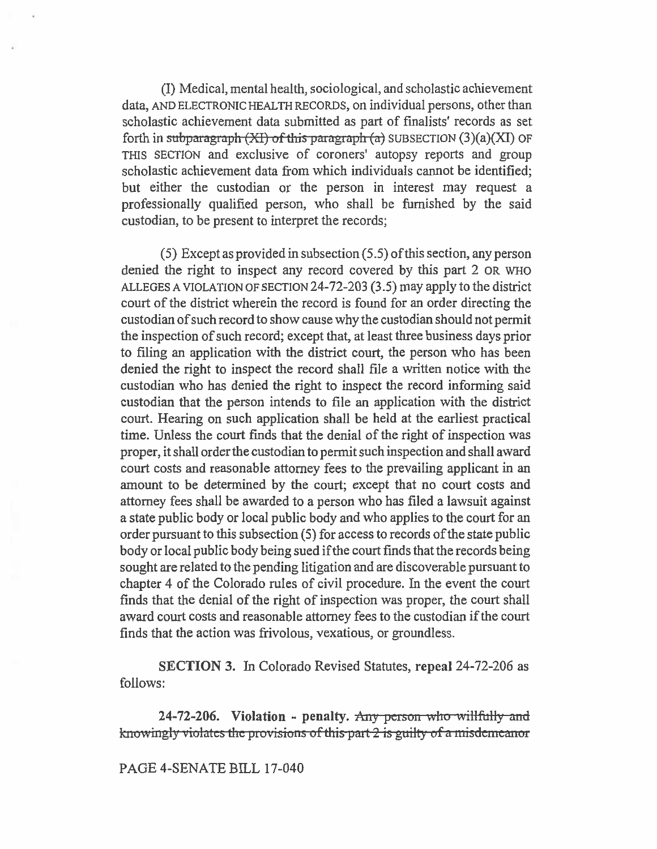(I) Medical, mental health, sociological, and scholastic achievement data, AND ELECTRONIC HEALTH RECORDS, on individual persons, other than scholastic achievement data submitted as part of finalists' records as set forth in subparagraph  $(XI)$  of this paragraph  $(a)$  SUBSECTION  $(3)(a)(XI)$  OF THIS SECTION and exclusive of coroners' autopsy reports and group scholastic achievement data from which individuals cannot be identified; but either the custodian or the person in interest may request a professionally qualified person, who shall be furnished by the said custodian, to be present to interpret the records;

(5) Except as provided in subsection (5.5) of this section, any person denied the right to inspect any record covered by this part 2 OR WHO ALLEGES A VIOLATION OF SECTION 24-72-203 (3.5) may apply to the district court of the district wherein the record is found for an order directing the custodian of such record to show cause why the custodian should not permit the inspection of such record; except that, at least three business days prior to filing an application with the district court, the person who has been denied the right to inspect the record shall file a written notice with the custodian who has denied the right to inspect the record informing said custodian that the person intends to file an application with the district court. Hearing on such application shall be held at the earliest practical time. Unless the court finds that the denial of the right of inspection was proper, it shall order the custodian to permit such inspection and shall award court costs and reasonable attorney fees to the prevailing applicant in an amount to be determined by the court; except that no court costs and attorney fees shall be awarded to a person who has filed a lawsuit against a state public body or local public body and who applies to the court for an order pursuant to this subsection (5) for access to records of the state public body or local public body being sued if the court finds that the records being sought are related to the pending litigation and are discoverable pursuant to chapter 4 of the Colorado rules of civil procedure. In the event the court finds that the denial of the right of inspection was proper, the court shall award court costs and reasonable attorney fees to the custodian if the court finds that the action was frivolous, vexatious, or groundless.

**SECTION 3.** In Colorado Revised Statutes, **repeal** 24-72-206 as follows:

**24-72-206.** Violation - penalty. Any person who willfully and knowingly violates the provisions of this part 2 is guilty of a misdemeanor

**PAGE 4-SENATE BILL 17-040**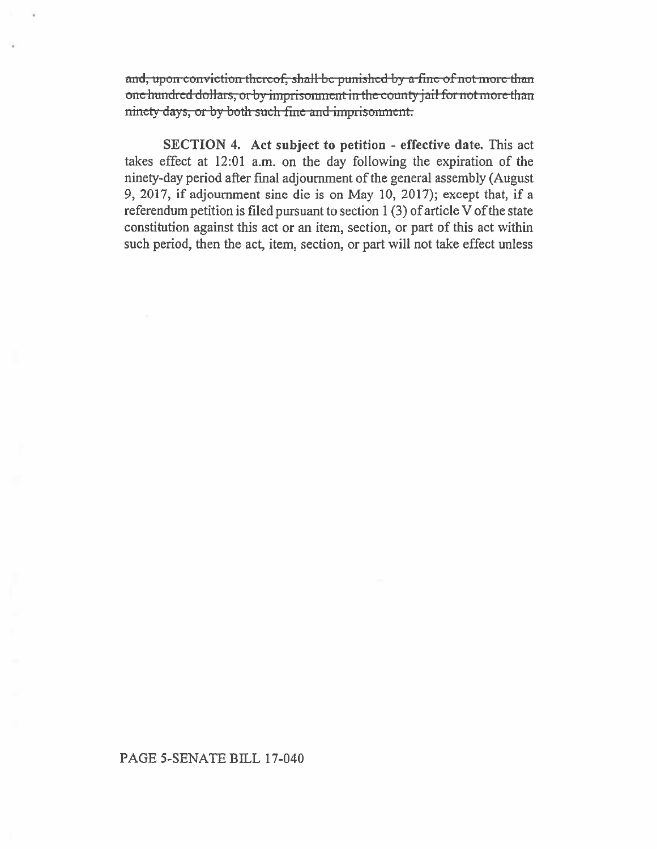and, upon conviction thereof, shall be punished by a fine of not more than one hundred dollars, or by imprisonment in the county jail for not more than ninety days, or by both such fine and imprisonment.

SECTION 4. Act subject to petition - effective date. This act takes effect at 12:01 a.m. on the day following the expiration of the ninety-day period after final adjournment of the general assembly (August 9, 2017, if adjournment sine die is on May 10, 2017); except that, if a referendum petition is filed pursuant to section  $1(3)$  of article V of the state constitution against this act or an item, section, or part of this act within such period, then the act, item, section, or part will not take effect unless

## PAGE 5-SENATE BILL 17-040